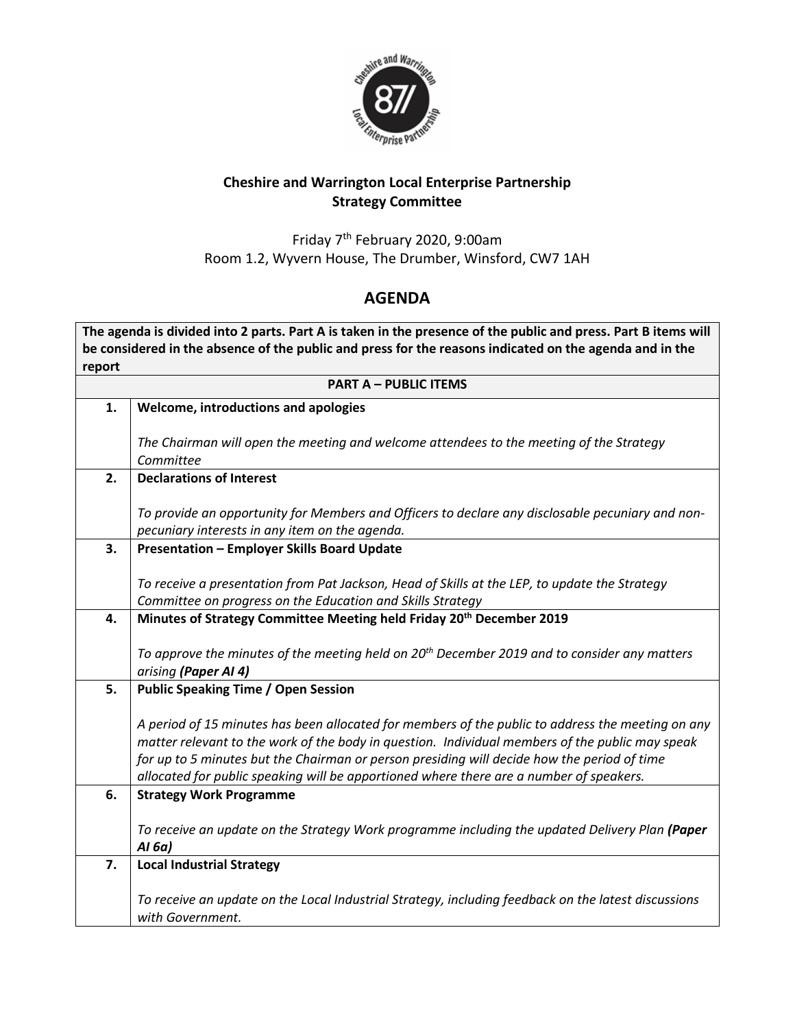

## **Cheshire and Warrington Local Enterprise Partnership Strategy Committee**

Friday 7 th February 2020, 9:00am Room 1.2, Wyvern House, The Drumber, Winsford, CW7 1AH

## **AGENDA**

**The agenda is divided into 2 parts. Part A is taken in the presence of the public and press. Part B items will be considered in the absence of the public and press for the reasons indicated on the agenda and in the report**

| <b>PART A - PUBLIC ITEMS</b> |                                                                                                                                                                                                |
|------------------------------|------------------------------------------------------------------------------------------------------------------------------------------------------------------------------------------------|
| 1.                           | Welcome, introductions and apologies                                                                                                                                                           |
|                              | The Chairman will open the meeting and welcome attendees to the meeting of the Strategy                                                                                                        |
|                              | Committee                                                                                                                                                                                      |
| 2.                           | <b>Declarations of Interest</b>                                                                                                                                                                |
|                              |                                                                                                                                                                                                |
|                              | To provide an opportunity for Members and Officers to declare any disclosable pecuniary and non-                                                                                               |
|                              | pecuniary interests in any item on the agenda.                                                                                                                                                 |
| 3.                           | <b>Presentation - Employer Skills Board Update</b>                                                                                                                                             |
|                              |                                                                                                                                                                                                |
|                              | To receive a presentation from Pat Jackson, Head of Skills at the LEP, to update the Strategy<br>Committee on progress on the Education and Skills Strategy                                    |
| 4.                           | Minutes of Strategy Committee Meeting held Friday 20 <sup>th</sup> December 2019                                                                                                               |
|                              |                                                                                                                                                                                                |
|                              | To approve the minutes of the meeting held on 20 <sup>th</sup> December 2019 and to consider any matters                                                                                       |
|                              | arising (Paper AI 4)                                                                                                                                                                           |
| 5.                           | <b>Public Speaking Time / Open Session</b>                                                                                                                                                     |
|                              |                                                                                                                                                                                                |
|                              | A period of 15 minutes has been allocated for members of the public to address the meeting on any                                                                                              |
|                              | matter relevant to the work of the body in question. Individual members of the public may speak<br>for up to 5 minutes but the Chairman or person presiding will decide how the period of time |
|                              | allocated for public speaking will be apportioned where there are a number of speakers.                                                                                                        |
| 6.                           | <b>Strategy Work Programme</b>                                                                                                                                                                 |
|                              |                                                                                                                                                                                                |
|                              | To receive an update on the Strategy Work programme including the updated Delivery Plan (Paper                                                                                                 |
|                              | AI 6a)                                                                                                                                                                                         |
| 7.                           | <b>Local Industrial Strategy</b>                                                                                                                                                               |
|                              |                                                                                                                                                                                                |
|                              | To receive an update on the Local Industrial Strategy, including feedback on the latest discussions<br>with Government.                                                                        |
|                              |                                                                                                                                                                                                |